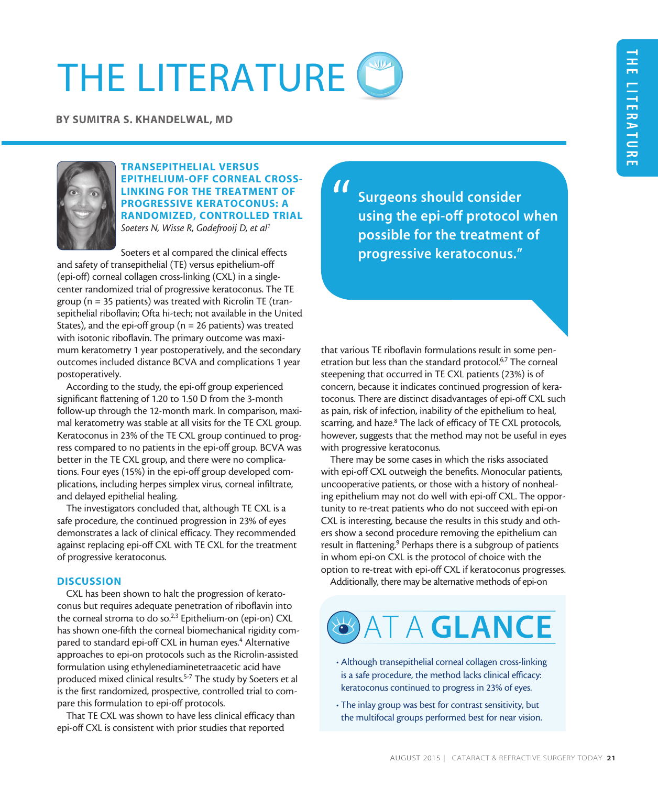# **THE LITERATURE**

BY SUMITRA S. KHANDELWAL, MD



## TRANSEPITHELIAL VERSUS EPITHELIUM-OFF CORNEAL CROSS-LINKING FOR THE TREATMENT OF PROGRESSIVE KERATOCONUS: A RANDOMIZED, CONTROLLED TRIAL

*Soeters N, Wisse R, Godefrooij D, et al1*

Soeters et al compared the clinical effects and safety of transepithelial (TE) versus epithelium-off (epi-off) corneal collagen cross-linking (CXL) in a singlecenter randomized trial of progressive keratoconus. The TE group (n = 35 patients) was treated with Ricrolin TE (transepithelial riboflavin; Ofta hi-tech; not available in the United States), and the epi-off group ( $n = 26$  patients) was treated with isotonic riboflavin. The primary outcome was maximum keratometry 1 year postoperatively, and the secondary outcomes included distance BCVA and complications 1 year postoperatively.

According to the study, the epi-off group experienced significant flattening of 1.20 to 1.50 D from the 3-month follow-up through the 12-month mark. In comparison, maximal keratometry was stable at all visits for the TE CXL group. Keratoconus in 23% of the TE CXL group continued to progress compared to no patients in the epi-off group. BCVA was better in the TE CXL group, and there were no complications. Four eyes (15%) in the epi-off group developed complications, including herpes simplex virus, corneal infiltrate, and delayed epithelial healing.

The investigators concluded that, although TE CXL is a safe procedure, the continued progression in 23% of eyes demonstrates a lack of clinical efficacy. They recommended against replacing epi-off CXL with TE CXL for the treatment of progressive keratoconus.

### **DISCUSSION**

CXL has been shown to halt the progression of keratoconus but requires adequate penetration of riboflavin into the corneal stroma to do so.<sup>2,3</sup> Epithelium-on (epi-on) CXL has shown one-fifth the corneal biomechanical rigidity compared to standard epi-off CXL in human eyes.<sup>4</sup> Alternative approaches to epi-on protocols such as the Ricrolin-assisted formulation using ethylenediaminetetraacetic acid have produced mixed clinical results.<sup>5-7</sup> The study by Soeters et al is the first randomized, prospective, controlled trial to compare this formulation to epi-off protocols.

That TE CXL was shown to have less clinical efficacy than epi-off CXL is consistent with prior studies that reported

Surgeons should consider using the epi-off protocol when possible for the treatment of progressive keratoconus."

"

that various TE riboflavin formulations result in some penetration but less than the standard protocol.<sup>6,7</sup> The corneal steepening that occurred in TE CXL patients (23%) is of concern, because it indicates continued progression of keratoconus. There are distinct disadvantages of epi-off CXL such as pain, risk of infection, inability of the epithelium to heal, scarring, and haze.<sup>8</sup> The lack of efficacy of TE CXL protocols, however, suggests that the method may not be useful in eyes with progressive keratoconus.

There may be some cases in which the risks associated with epi-off CXL outweigh the benefits. Monocular patients, uncooperative patients, or those with a history of nonhealing epithelium may not do well with epi-off CXL. The opportunity to re-treat patients who do not succeed with epi-on CXL is interesting, because the results in this study and others show a second procedure removing the epithelium can result in flattening.<sup>9</sup> Perhaps there is a subgroup of patients in whom epi-on CXL is the protocol of choice with the option to re-treat with epi-off CXL if keratoconus progresses. Additionally, there may be alternative methods of epi-on



- Although transepithelial corneal collagen cross-linking is a safe procedure, the method lacks clinical efficacy: keratoconus continued to progress in 23% of eyes.
- The inlay group was best for contrast sensitivity, but the multifocal groups performed best for near vision.